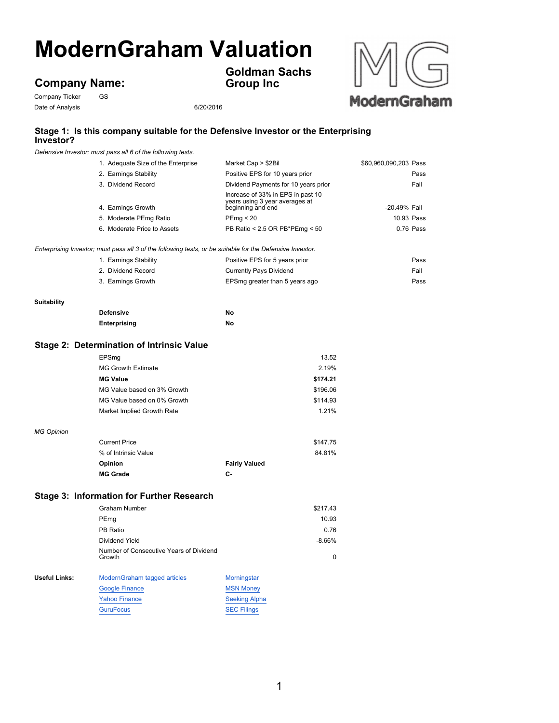# **ModernGraham Valuation**

## **Company Name:**

Company Ticker GS Date of Analysis 6/20/2016

**Goldman Sachs Group Inc**



### **Stage 1: Is this company suitable for the Defensive Investor or the Enterprising Investor?**

*Defensive Investor; must pass all 6 of the following tests.*

|                    | 1. Adequate Size of the Enterprise                                                                        | Market Cap > \$2Bil                                                                      | \$60,960,090,203 Pass |
|--------------------|-----------------------------------------------------------------------------------------------------------|------------------------------------------------------------------------------------------|-----------------------|
|                    | 2. Earnings Stability                                                                                     | Positive EPS for 10 years prior                                                          | Pass                  |
|                    | 3. Dividend Record                                                                                        | Dividend Payments for 10 years prior                                                     | Fail                  |
|                    | 4. Earnings Growth                                                                                        | Increase of 33% in EPS in past 10<br>years using 3 year averages at<br>beginning and end | -20.49% Fail          |
|                    | 5. Moderate PEmg Ratio                                                                                    | PEmg < 20                                                                                | 10.93 Pass            |
|                    | 6. Moderate Price to Assets                                                                               | PB Ratio < 2.5 OR PB*PEmg < 50                                                           | 0.76 Pass             |
|                    |                                                                                                           |                                                                                          |                       |
|                    | Enterprising Investor; must pass all 3 of the following tests, or be suitable for the Defensive Investor. |                                                                                          |                       |
|                    | 1. Earnings Stability                                                                                     | Positive EPS for 5 years prior                                                           | Pass                  |
|                    | 2. Dividend Record                                                                                        | <b>Currently Pays Dividend</b>                                                           | Fail                  |
|                    | 3. Earnings Growth                                                                                        | EPSmg greater than 5 years ago                                                           | Pass                  |
| <b>Suitability</b> |                                                                                                           |                                                                                          |                       |
|                    | <b>Defensive</b>                                                                                          | No                                                                                       |                       |
|                    | <b>Enterprising</b>                                                                                       | No                                                                                       |                       |
|                    |                                                                                                           |                                                                                          |                       |
|                    | <b>Stage 2: Determination of Intrinsic Value</b>                                                          |                                                                                          |                       |
|                    | EPSmg                                                                                                     | 13.52                                                                                    |                       |
|                    | <b>MG Growth Estimate</b>                                                                                 | 2.19%                                                                                    |                       |
|                    | <b>MG Value</b>                                                                                           | \$174.21                                                                                 |                       |
|                    | MG Value based on 3% Growth                                                                               | \$196.06                                                                                 |                       |
|                    | MG Value based on 0% Growth                                                                               | \$114.93                                                                                 |                       |
|                    | Market Implied Growth Rate                                                                                | 1.21%                                                                                    |                       |
| <b>MG Opinion</b>  |                                                                                                           |                                                                                          |                       |
|                    | <b>Current Price</b>                                                                                      | \$147.75                                                                                 |                       |
|                    | % of Intrinsic Value                                                                                      | 84.81%                                                                                   |                       |
|                    | Opinion                                                                                                   | <b>Fairly Valued</b>                                                                     |                       |
|                    | <b>MG Grade</b>                                                                                           | c-                                                                                       |                       |
|                    | <b>Stage 3: Information for Further Research</b>                                                          |                                                                                          |                       |
|                    | <b>Graham Number</b>                                                                                      | \$217.43                                                                                 |                       |
|                    | PEmg                                                                                                      | 10.93                                                                                    |                       |
|                    | PB Ratio                                                                                                  | 0.76                                                                                     |                       |
|                    | Dividend Yield                                                                                            | $-8.66%$                                                                                 |                       |
|                    | Number of Consecutive Years of Dividend                                                                   |                                                                                          |                       |
|                    | Growth                                                                                                    | $\mathbf 0$                                                                              |                       |
| Useful Links:      | ModernGraham tagged articles                                                                              | Morningstar                                                                              |                       |
|                    | <b>Google Finance</b>                                                                                     | <b>MSN Money</b>                                                                         |                       |
|                    | <b>Yahoo Finance</b>                                                                                      | <b>Seeking Alpha</b>                                                                     |                       |
|                    | <b>GuruFocus</b>                                                                                          | <b>SEC Filings</b>                                                                       |                       |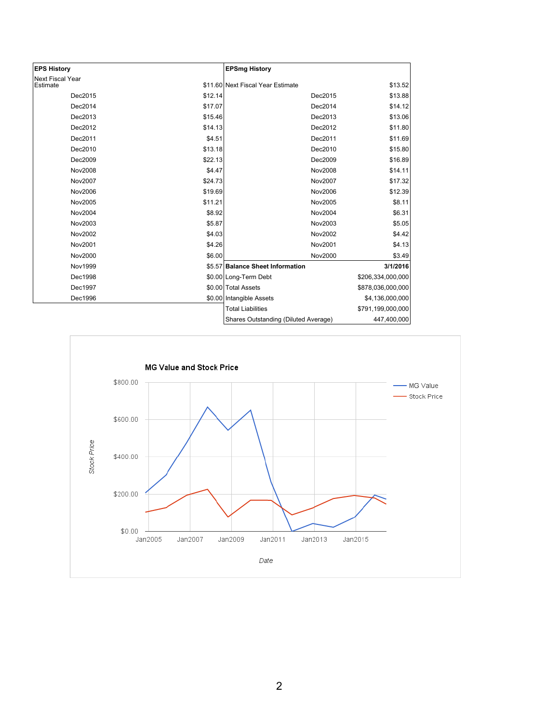| <b>EPS History</b>                  |         | <b>EPSmg History</b>                 |                   |
|-------------------------------------|---------|--------------------------------------|-------------------|
| <b>Next Fiscal Year</b><br>Estimate |         | \$11.60 Next Fiscal Year Estimate    | \$13.52           |
|                                     |         |                                      |                   |
| Dec2015                             | \$12.14 | Dec2015                              | \$13.88           |
| Dec2014                             | \$17.07 | Dec2014                              | \$14.12           |
| Dec2013                             | \$15.46 | Dec2013                              | \$13.06           |
| Dec2012                             | \$14.13 | Dec2012                              | \$11.80           |
| Dec2011                             | \$4.51  | Dec2011                              | \$11.69           |
| Dec2010                             | \$13.18 | Dec2010                              | \$15.80           |
| Dec2009                             | \$22.13 | Dec2009                              | \$16.89           |
| Nov2008                             | \$4.47  | Nov2008                              | \$14.11           |
| Nov2007                             | \$24.73 | Nov2007                              | \$17.32           |
| Nov2006                             | \$19.69 | Nov2006                              | \$12.39           |
| Nov2005                             | \$11.21 | Nov2005                              | \$8.11            |
| Nov2004                             | \$8.92  | Nov2004                              | \$6.31            |
| Nov2003                             | \$5.87  | Nov2003                              | \$5.05            |
| Nov2002                             | \$4.03  | Nov2002                              | \$4.42            |
| Nov2001                             | \$4.26  | Nov2001                              | \$4.13            |
| Nov2000                             | \$6.00  | Nov2000                              | \$3.49            |
| Nov1999                             |         | \$5.57 Balance Sheet Information     | 3/1/2016          |
| Dec1998                             |         | \$0.00 Long-Term Debt                | \$206,334,000,000 |
| Dec1997                             |         | \$0.00 Total Assets                  | \$878,036,000,000 |
| Dec1996                             |         | \$0.00 Intangible Assets             | \$4,136,000,000   |
|                                     |         | <b>Total Liabilities</b>             | \$791,199,000,000 |
|                                     |         | Shares Outstanding (Diluted Average) | 447,400,000       |